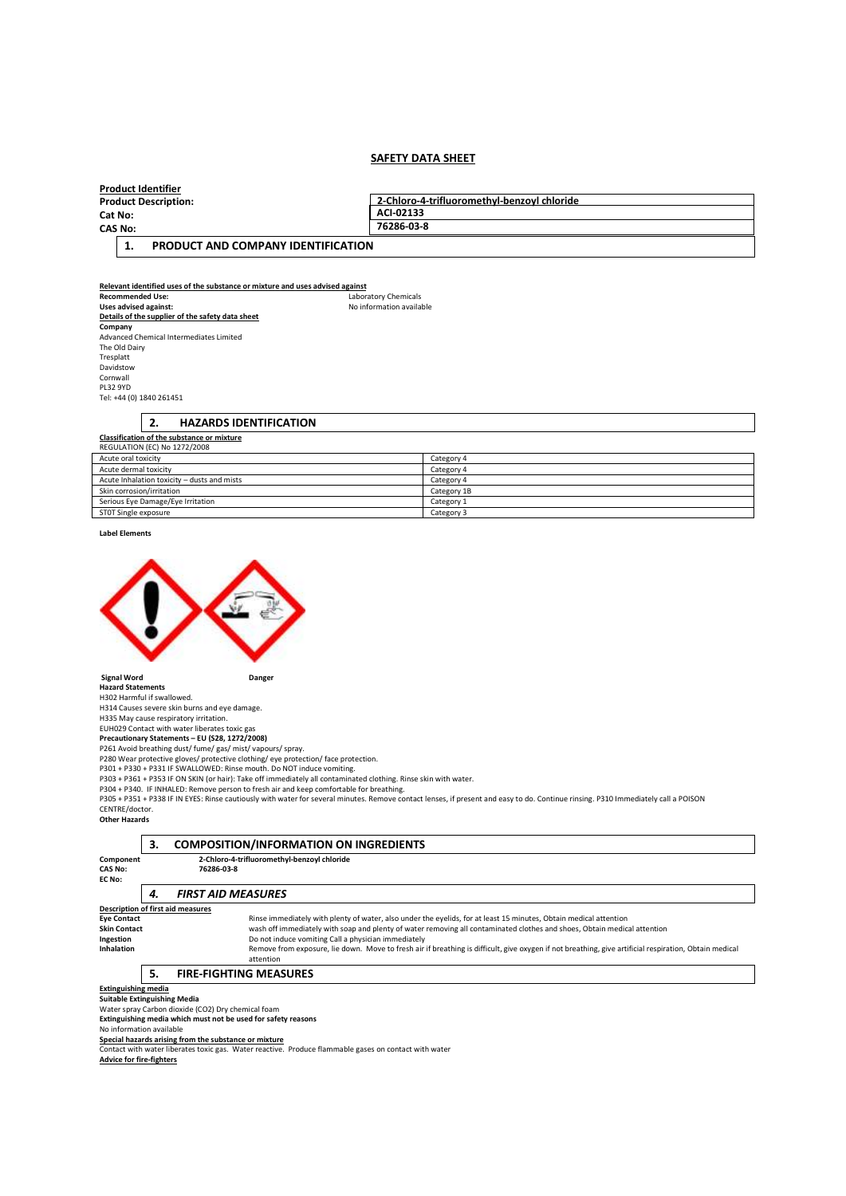### **SAFETY DATA SHEET**

|                             |  | <b>Product Identifier</b>          |                                             |
|-----------------------------|--|------------------------------------|---------------------------------------------|
| <b>Product Description:</b> |  |                                    | 2-Chloro-4-trifluoromethyl-benzoyl chloride |
| Cat No:<br><b>CAS No:</b>   |  |                                    | ACI-02133                                   |
|                             |  |                                    | 76286-03-8                                  |
|                             |  | PRODUCT AND COMPANY IDENTIFICATION |                                             |

**Uses advised against:** No information available

**Relevant identified uses of the substance or mixture and uses advised against Recommended Use:** Laboratory Chemicals<br> **Uses advised against:** No information availal **Details of the supplier of the safety data sheet Company**  Advanced Chemical Intermediates Limited The Old Dairy Tresplatt Davidstow Cornwall PL32 9YD Tel: +44 (0) 1840 261451

**2. HAZARDS IDENTIFICATION** 

| <b>Classification of the substance or mixture</b> |             |  |  |
|---------------------------------------------------|-------------|--|--|
| REGULATION (EC) No 1272/2008                      |             |  |  |
| Acute oral toxicity                               | Category 4  |  |  |
| Acute dermal toxicity                             | Category 4  |  |  |
| Acute Inhalation toxicity - dusts and mists       | Category 4  |  |  |
| Skin corrosion/irritation                         | Category 1B |  |  |
| Serious Eye Damage/Eye Irritation                 | Category 1  |  |  |
| STOT Single exposure                              | Category 3  |  |  |

**Label Elements** 



**Hazard Statements** 

H302 Harmful if swallowed.

H314 Causes severe skin burns and eye damage. H335 May cause respiratory irritation.

EUH029 Contact with water liberates toxic gas **Precautionary Statements – EU (S28, 1272/2008)** 

P261 Avoid breathing dust/ fume/ gas/ mist/ vapours/ spray. P280 Wear protective gloves/ protective clothing/ eye protection/ face protection.

P301 + P330 + P331 IF SWALLOWED: Rinse mouth. Do NOT induce vomiting.

P303 + P361 + P353 IF ON SKIN (or hair): Take off immediately all contaminated clothing. Rinse skin with water.<br>P304 + P340. IF INHALED: Remove person to fresh air and keep comfortable for breathing.<br>P305 + P351 + P338 IF CENTRE/doctor. **Other Hazards**

|  | <b>COMPOSITIO</b> |
|--|-------------------|

|  |            |   | <b>COMPOSITION/INFORMATION ON INGREDIENTS</b> |
|--|------------|---|-----------------------------------------------|
|  | ---------- | . |                                               |

**Component 2-Chloro-4-trifluoromethyl-benzoyl chloride CAS No: 76286-03-8** 

| ------------<br><b>CAS No:</b><br>EC No: |    | 76286-03-8                |                                                                                                                                                                     |
|------------------------------------------|----|---------------------------|---------------------------------------------------------------------------------------------------------------------------------------------------------------------|
|                                          | 4. | <b>FIRST AID MEASURES</b> |                                                                                                                                                                     |
| Description of first aid measures        |    |                           |                                                                                                                                                                     |
| <b>Eye Contact</b>                       |    |                           | Rinse immediately with plenty of water, also under the eyelids, for at least 15 minutes, Obtain medical attention                                                   |
| <b>Skin Contact</b>                      |    |                           | wash off immediately with soap and plenty of water removing all contaminated clothes and shoes, Obtain medical attention                                            |
| Ingestion                                |    |                           | Do not induce vomiting Call a physician immediately                                                                                                                 |
| <b>Inhalation</b>                        |    |                           | Remove from exposure, lie down. Move to fresh air if breathing is difficult, give oxygen if not breathing, give artificial respiration, Obtain medical<br>attention |
|                                          |    |                           | <b>FIRE-FIGHTING MEASURES</b>                                                                                                                                       |

**Extinguishing media** 

**Suitable Extinguishing Media**  Water spray Carbon dioxide (CO2) Dry chemical foam

**Extinguishing media which must not be used for safety reasons**  No information available

**Special hazards arising from the substance or mixture**  Contact with water liberates toxic gas. Water reactive. Produce flammable gases on contact with water

**Advice for fire-fighters**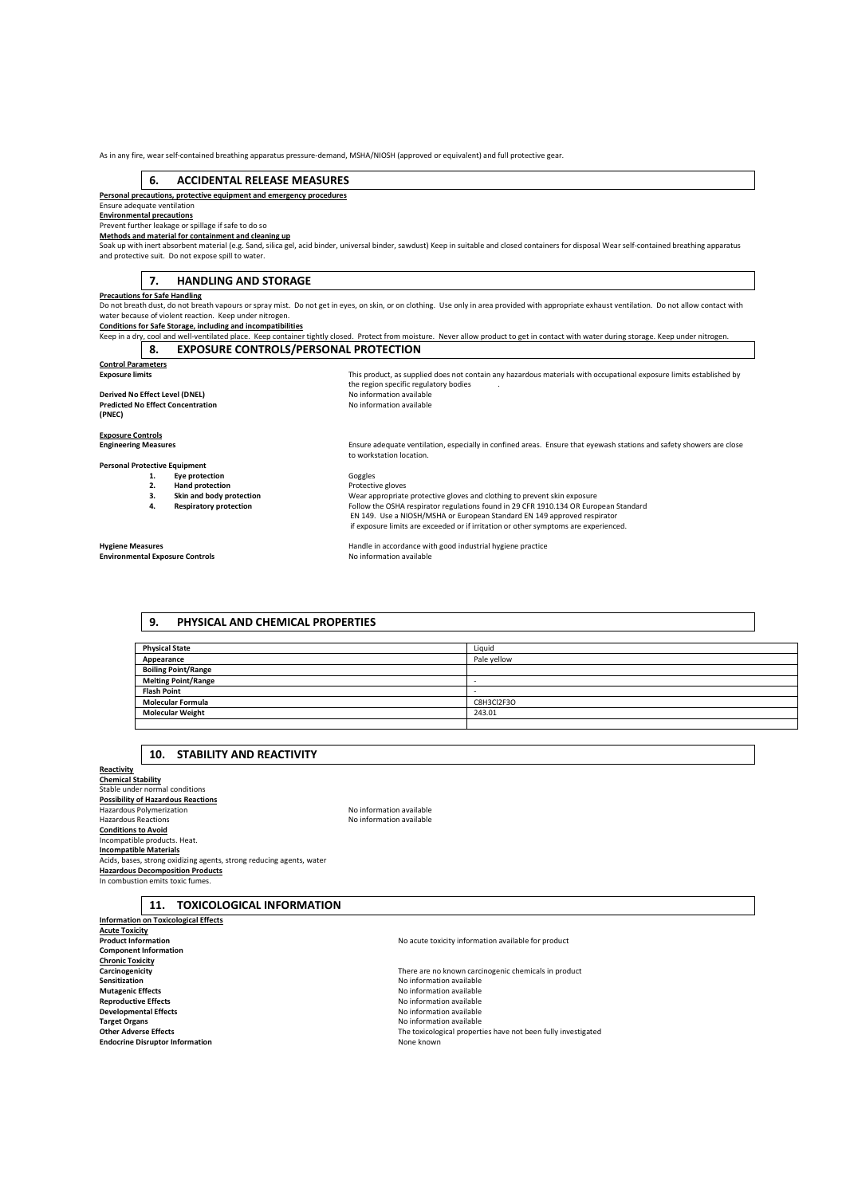As in any fire, wear self-contained breathing apparatus pressure-demand, MSHA/NIOSH (approved or equivalent) and full protective gear.

#### **6. ACCIDENTAL RELEASE MEASURES**

**Personal precautions, protective equipment and emergency procedures** 

#### Ensure adequate ventilation **Environmental precautions**

Prevent further leakage or spillage if safe to do so

**Methods and material for containment and cleaning up** 

Soak up with inert absorbent material (e.g. Sand, silica gel, acid binder, universal binder, sawdust) Keep in suitable and closed containers for disposal Wear self-contained breathing apparatus and protective suit. Do not expose spill to water.

#### **7. HANDLING AND STORAGE**

#### **Precautions for Safe Handling**

Do not breath dust, do not breath vapours or spray mist. Do not get in eyes, on skin, or on clothing. Use only in area provided with appropriate exhaust ventilation. Do not allow contact with<br>water because of violent react

#### **Conditions for Safe Storage, including and incompatibilities**

Keep in a dry, cool and well-ventilated place. Keep container tightly closed. Protect from moisture. Never allow product to get in contact with water during storage. Keep under nitrogen.<br> **8.** EXPOSURE CONTROLS/PERSONAL PR **EXPOSURE CONTROLS/PERSONAL PROTECTION** 

the region specific regulatory bodies<br>No information available

| <b>Control Parameters</b> |  |
|---------------------------|--|
| Evnocuro limite           |  |

#### **Derived No Effect Level (DNEL) Predicted No Effect Concentration (PNEC)**

**Exposure Controls** 

**Personal Protective Equipment** 

- 
- **2. Hand protection** 
	-
	-

**Environmental Exposure Controls** 

**Engineering Measures** Ensure adequate ventilation, especially in confined areas. Ensure that eyewash stations and safety showers are close to workstation location.

**Exposure limits** This product, as supplied does not contain any hazardous materials with occupational exposure limits established by

**1. Eye protection 1. Example 1.** Goggles **2. Hand protection 1. Example 2. Protective** gloves **3. 3. Skin and body protection Wear appropriate protective gloves and clothing to prevent skin exposure <b>4. Respiratory protection Follow the OSHA respirator regulations found in 29 CFR 1910.134 OR Euro 4. Respiratory protection** Follow the OSHA respirator regulations found in 29 CFR 1910.134 OR European Standard EN 149. Use a NIOSH/MSHA or European Standard EN 149 approved respirator if exposure limits are exceeded or if irritation or other symptoms are experienced.

**Hygiene Measures**<br> **Handle in accordance with good industrial hygiene practice**<br> **No information available**<br>
No information available

#### **9. PHYSICAL AND CHEMICAL PROPERTIES**

| <b>Physical State</b>      | Liquid      |
|----------------------------|-------------|
| Appearance                 | Pale yellow |
| <b>Boiling Point/Range</b> |             |
| <b>Melting Point/Range</b> |             |
| <b>Flash Point</b>         |             |
| <b>Molecular Formula</b>   | C8H3Cl2F3O  |
| <b>Molecular Weight</b>    | 243.01      |
|                            |             |

#### **10. STABILITY AND REACTIVITY**

**Reactivity Chemical Stability**  Stable under normal conditions **Possibility of Hazardous Reactions**<br>Hazardous Polymerization **No information are activities in the Search A**NO information available Hazardous Reactions **Conditions to Avoid**  Incompatible products. Heat. **Incompatible Materials**  Acids, bases, strong oxidizing agents, strong reducing agents, water **Hazardous Decomposition Products**  In combustion emits toxic fume.

| lo information available |  |
|--------------------------|--|
| lo information available |  |

**11. TOXICOLOGICAL INFORMATION** 

**Information on Toxicological Effects Acute Toxicity Component Information Chronic Toxicity Sensitization**<br> **Sensitization**<br> **Sensitization**<br> **Mutagenic Effects**<br> **Mutagenic Effects Mutagenic Effects Mutagenic Effects No information available Reproductive Effects No information available Reproductive Effects Reproductive Effects**<br> **Reproductive Effects**<br> **Reproductive Effects**<br> **Reproductive Effects**<br> **Reproductive Effects Target Organs No** information available<br> **Cities:** Content of the Adverse Effects<br> **Cities:** Cities: The toxicological property **Endocrine Disruptor Information** None known

**Carcinogenicity Carcinogenicity Carcinogenicity Carcinogenic chemicals in product Carcinogenic chemicals in product Carcinogenic chemicals in product Carcinogenic chemicals in product Carcinogenic chemicals Developmental Effects** No information available **Other Adverse Effects** The toxicological properties have not been fully investigated

**No acute toxicity information available for product**